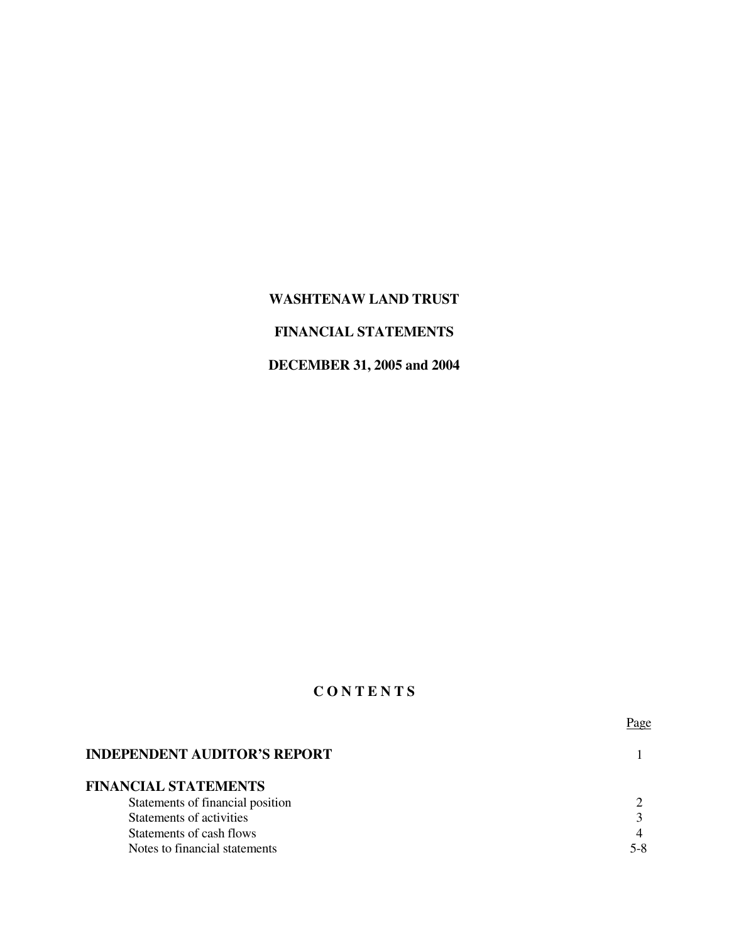# **WASHTENAW LAND TRUST**

### **FINANCIAL STATEMENTS**

# **DECEMBER 31, 2005 and 2004**

# **C O N T E N T S**

|                                     | Page |
|-------------------------------------|------|
| <b>INDEPENDENT AUDITOR'S REPORT</b> |      |
| <b>FINANCIAL STATEMENTS</b>         |      |
| Statements of financial position    |      |
| Statements of activities            |      |
| Statements of cash flows            | 4    |
| Notes to financial statements       |      |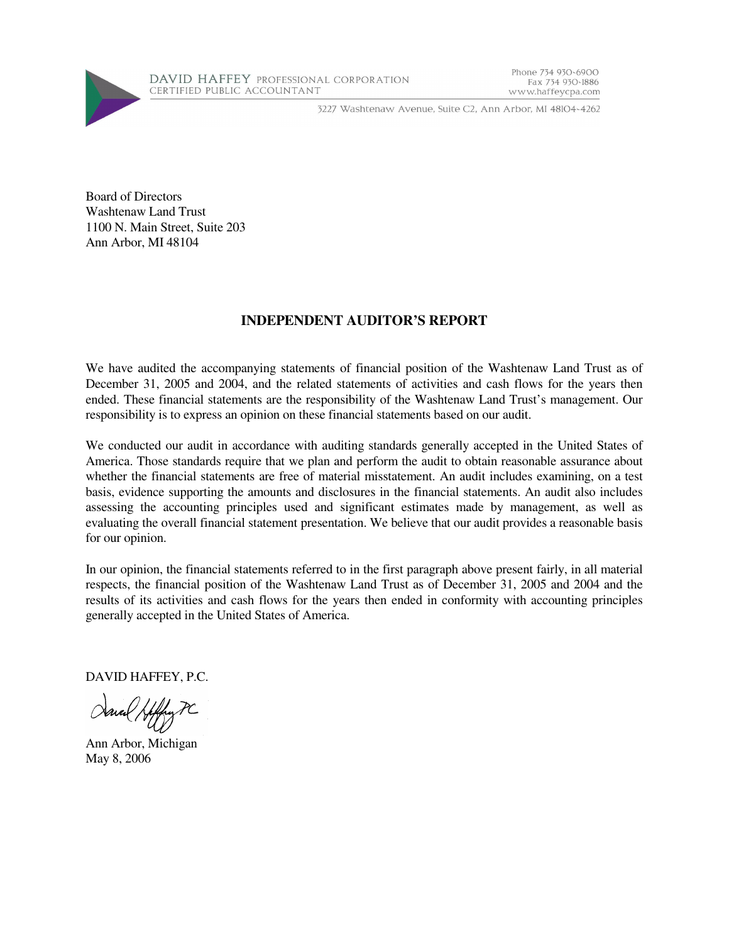

3227 Washtenaw Avenue, Suite C2, Ann Arbor, MI 48104-4262

Phone 734 930-6900

www.haffeycpa.com

Fax 734 930-1886

Board of Directors Washtenaw Land Trust 1100 N. Main Street, Suite 203 Ann Arbor, MI 48104

### **INDEPENDENT AUDITOR'S REPORT**

We have audited the accompanying statements of financial position of the Washtenaw Land Trust as of December 31, 2005 and 2004, and the related statements of activities and cash flows for the years then ended. These financial statements are the responsibility of the Washtenaw Land Trust's management. Our responsibility is to express an opinion on these financial statements based on our audit.

We conducted our audit in accordance with auditing standards generally accepted in the United States of America. Those standards require that we plan and perform the audit to obtain reasonable assurance about whether the financial statements are free of material misstatement. An audit includes examining, on a test basis, evidence supporting the amounts and disclosures in the financial statements. An audit also includes assessing the accounting principles used and significant estimates made by management, as well as evaluating the overall financial statement presentation. We believe that our audit provides a reasonable basis for our opinion.

In our opinion, the financial statements referred to in the first paragraph above present fairly, in all material respects, the financial position of the Washtenaw Land Trust as of December 31, 2005 and 2004 and the results of its activities and cash flows for the years then ended in conformity with accounting principles generally accepted in the United States of America.

DAVID HAFFEY, P.C.

Ann Arbor, Michigan May 8, 2006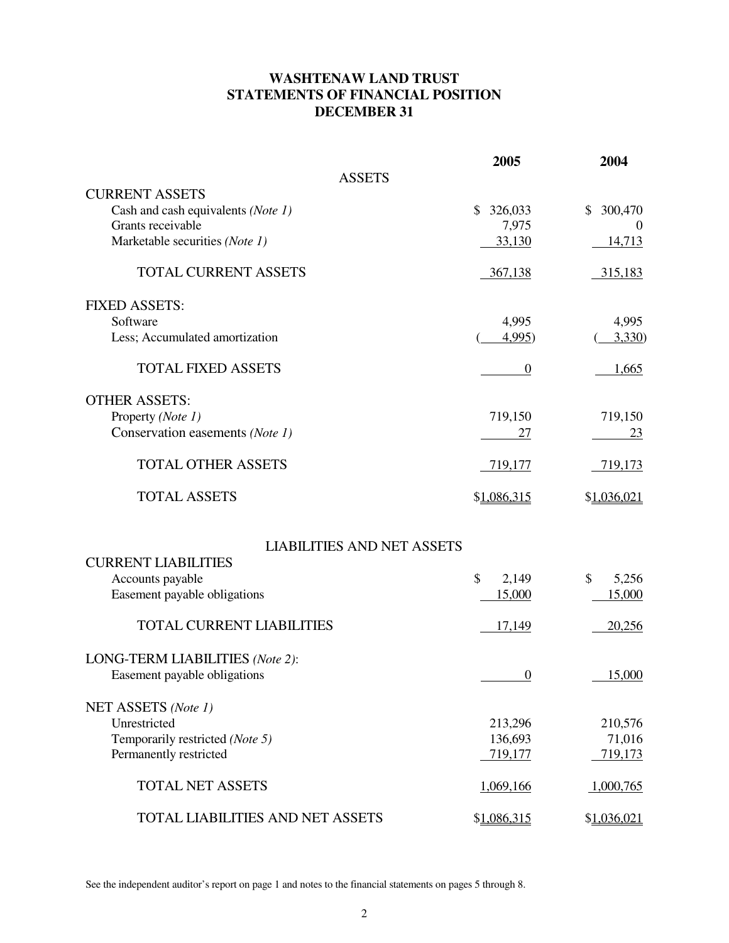### **WASHTENAW LAND TRUST STATEMENTS OF FINANCIAL POSITION DECEMBER 31**

|                                         | 2005             | 2004          |
|-----------------------------------------|------------------|---------------|
| <b>ASSETS</b>                           |                  |               |
| <b>CURRENT ASSETS</b>                   |                  |               |
| Cash and cash equivalents (Note 1)      | 326,033<br>\$    | 300,470<br>\$ |
| Grants receivable                       | 7,975            | $\theta$      |
| Marketable securities (Note 1)          | 33,130           | 14,713        |
| <b>TOTAL CURRENT ASSETS</b>             | 367,138          | 315,183       |
| <b>FIXED ASSETS:</b>                    |                  |               |
| Software                                | 4,995            | 4,995         |
| Less; Accumulated amortization          | 4,995)           | 3,330         |
| <b>TOTAL FIXED ASSETS</b>               | $\boldsymbol{0}$ | 1,665         |
| <b>OTHER ASSETS:</b>                    |                  |               |
| Property (Note 1)                       | 719,150          | 719,150       |
| Conservation easements (Note 1)         | 27               | 23            |
| <b>TOTAL OTHER ASSETS</b>               | 719,177          | 719,173       |
| <b>TOTAL ASSETS</b>                     | \$1,086,315      | \$1,036,021   |
| <b>LIABILITIES AND NET ASSETS</b>       |                  |               |
| <b>CURRENT LIABILITIES</b>              |                  |               |
| Accounts payable                        | \$<br>2,149      | \$<br>5,256   |
| Easement payable obligations            | 15,000           | 15,000        |
|                                         |                  |               |
| <b>TOTAL CURRENT LIABILITIES</b>        | 17,149           | 20,256        |
| LONG-TERM LIABILITIES (Note 2):         |                  |               |
| Easement payable obligations            | $\boldsymbol{0}$ | 15,000        |
| NET ASSETS (Note 1)                     |                  |               |
| Unrestricted                            | 213,296          | 210,576       |
| Temporarily restricted (Note 5)         | 136,693          | 71,016        |
| Permanently restricted                  | 719,177          | 719,173       |
|                                         |                  |               |
| <b>TOTAL NET ASSETS</b>                 | 1,069,166        | 1,000,765     |
| <b>TOTAL LIABILITIES AND NET ASSETS</b> | \$1,086,315      | \$1,036,021   |

See the independent auditor's report on page 1 and notes to the financial statements on pages 5 through 8.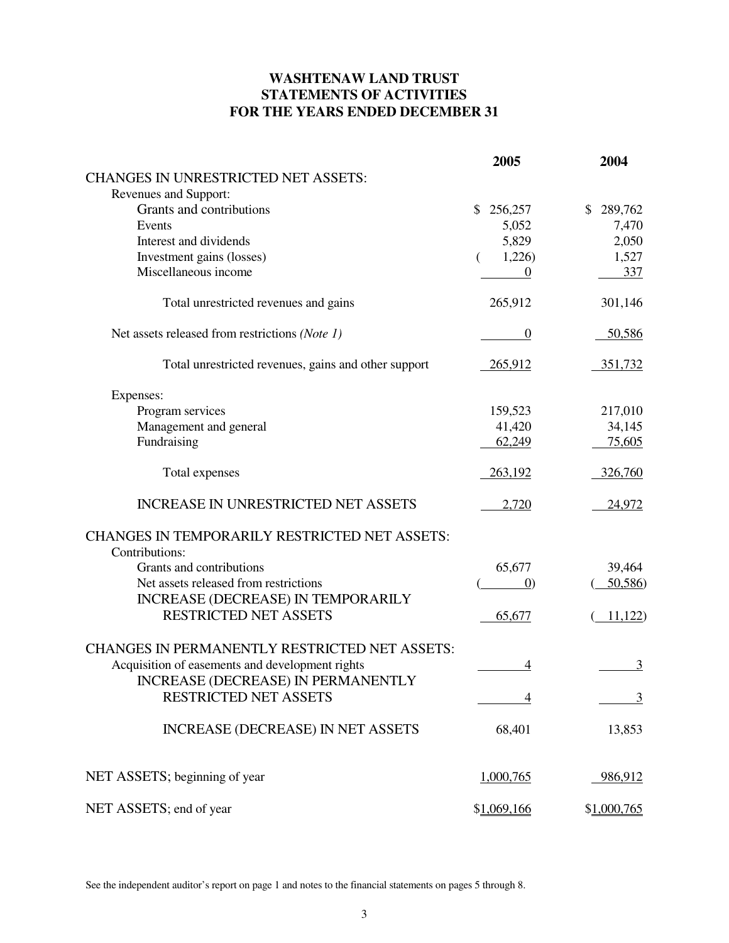### **WASHTENAW LAND TRUST STATEMENTS OF ACTIVITIES FOR THE YEARS ENDED DECEMBER 31**

|                                                      | 2005              | 2004           |
|------------------------------------------------------|-------------------|----------------|
| <b>CHANGES IN UNRESTRICTED NET ASSETS:</b>           |                   |                |
| Revenues and Support:                                |                   |                |
| Grants and contributions                             | \$<br>256,257     | 289,762<br>\$  |
| Events                                               | 5,052             | 7,470          |
| Interest and dividends                               | 5,829             | 2,050          |
| Investment gains (losses)                            | 1,226)<br>€       | 1,527          |
| Miscellaneous income                                 | 0                 | 337            |
| Total unrestricted revenues and gains                | 265,912           | 301,146        |
| Net assets released from restrictions (Note 1)       | $\theta$          | 50,586         |
| Total unrestricted revenues, gains and other support | 265,912           | 351,732        |
| Expenses:                                            |                   |                |
| Program services                                     | 159,523           | 217,010        |
| Management and general                               | 41,420            | 34,145         |
| Fundraising                                          | 62,249            | 75,605         |
| Total expenses                                       | 263,192           | 326,760        |
| <b>INCREASE IN UNRESTRICTED NET ASSETS</b>           | 2,720             | 24,972         |
| <b>CHANGES IN TEMPORARILY RESTRICTED NET ASSETS:</b> |                   |                |
| Contributions:                                       |                   |                |
| Grants and contributions                             | 65,677            | 39,464         |
| Net assets released from restrictions                | $\left( 0\right)$ | 50,586         |
| <b>INCREASE (DECREASE) IN TEMPORARILY</b>            |                   |                |
| <b>RESTRICTED NET ASSETS</b>                         | 65,677            | 11,122         |
| <b>CHANGES IN PERMANENTLY RESTRICTED NET ASSETS:</b> |                   |                |
| Acquisition of easements and development rights      | 4                 | 3              |
| INCREASE (DECREASE) IN PERMANENTLY                   |                   |                |
| RESTRICTED NET ASSETS                                | 4                 | $\overline{3}$ |
| <b>INCREASE (DECREASE) IN NET ASSETS</b>             | 68,401            | 13,853         |
| NET ASSETS; beginning of year                        | 1,000,765         | 986,912        |
| NET ASSETS; end of year                              | \$1,069,166       | \$1,000,765    |

See the independent auditor's report on page 1 and notes to the financial statements on pages 5 through 8.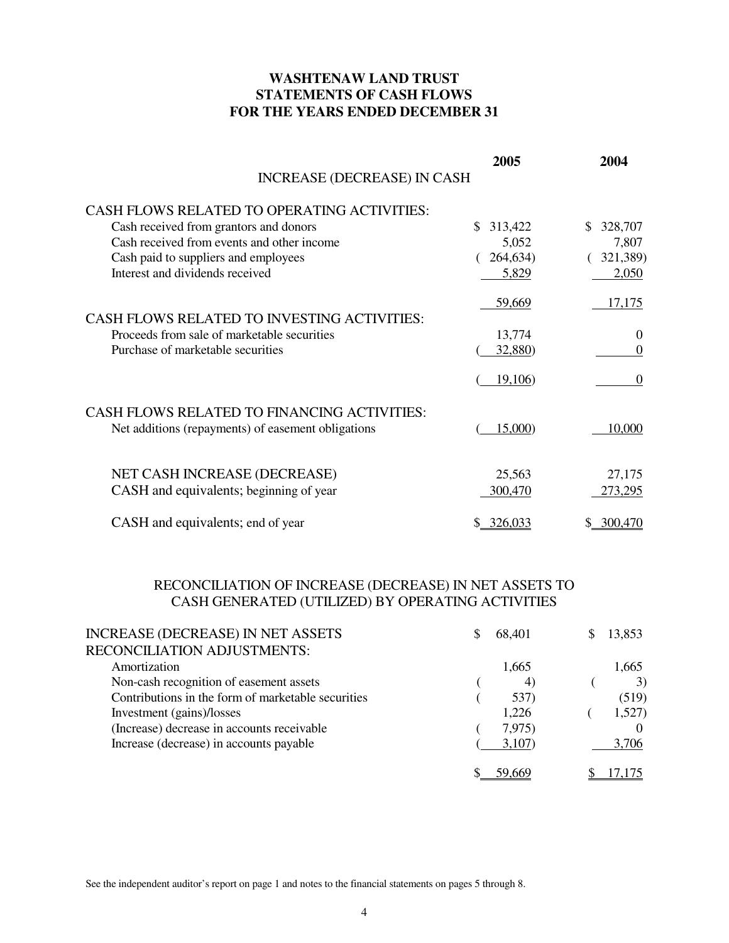### **WASHTENAW LAND TRUST STATEMENTS OF CASH FLOWS FOR THE YEARS ENDED DECEMBER 31**

|                                                    | 2005          | 2004           |
|----------------------------------------------------|---------------|----------------|
| <b>INCREASE (DECREASE) IN CASH</b>                 |               |                |
| <b>CASH FLOWS RELATED TO OPERATING ACTIVITIES:</b> |               |                |
| Cash received from grantors and donors             | 313,422<br>\$ | 328,707        |
| Cash received from events and other income         | 5,052         | 7,807          |
| Cash paid to suppliers and employees               | 264,634)      | 321,389)       |
| Interest and dividends received                    | 5,829         | 2,050          |
| <b>CASH FLOWS RELATED TO INVESTING ACTIVITIES:</b> | 59,669        | 17,175         |
| Proceeds from sale of marketable securities        | 13,774        | $\theta$       |
| Purchase of marketable securities                  | 32,880)       | $\overline{0}$ |
|                                                    | 19,106)       | $\theta$       |
| CASH FLOWS RELATED TO FINANCING ACTIVITIES:        |               |                |
| Net additions (repayments) of easement obligations | 15,000)       | 10,000         |
| NET CASH INCREASE (DECREASE)                       | 25,563        | 27,175         |
| CASH and equivalents; beginning of year            | 300,470       | 273,295        |
|                                                    |               |                |
| CASH and equivalents; end of year                  | \$ 326,033    | \$ 300,470     |

### RECONCILIATION OF INCREASE (DECREASE) IN NET ASSETS TO CASH GENERATED (UTILIZED) BY OPERATING ACTIVITIES

| INCREASE (DECREASE) IN NET ASSETS                  | S | 68,401 | 13,853 |
|----------------------------------------------------|---|--------|--------|
| RECONCILIATION ADJUSTMENTS:                        |   |        |        |
| Amortization                                       |   | 1,665  | 1,665  |
| Non-cash recognition of easement assets            |   | 4)     | 3)     |
| Contributions in the form of marketable securities |   | 537)   | (519)  |
| Investment (gains)/losses                          |   | 1,226  | 1,527  |
| (Increase) decrease in accounts receivable         |   | 7,975) |        |
| Increase (decrease) in accounts payable            |   | 3,107  | 3,706  |
|                                                    |   |        |        |

See the independent auditor's report on page 1 and notes to the financial statements on pages 5 through 8.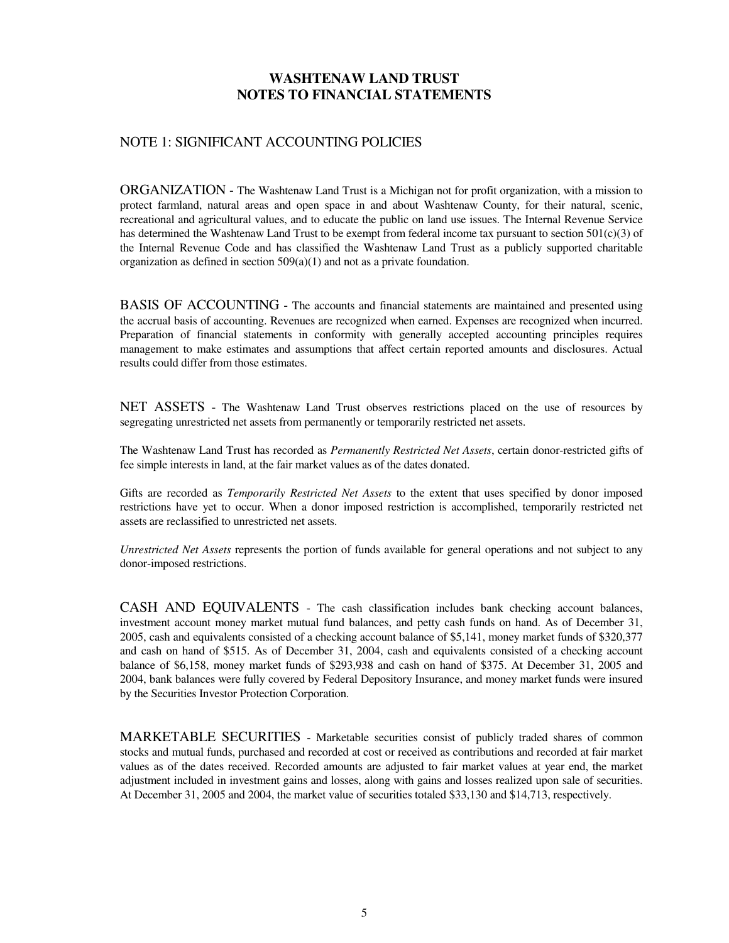### NOTE 1: SIGNIFICANT ACCOUNTING POLICIES

ORGANIZATION - The Washtenaw Land Trust is a Michigan not for profit organization, with a mission to protect farmland, natural areas and open space in and about Washtenaw County, for their natural, scenic, recreational and agricultural values, and to educate the public on land use issues. The Internal Revenue Service has determined the Washtenaw Land Trust to be exempt from federal income tax pursuant to section 501(c)(3) of the Internal Revenue Code and has classified the Washtenaw Land Trust as a publicly supported charitable organization as defined in section 509(a)(1) and not as a private foundation.

BASIS OF ACCOUNTING - The accounts and financial statements are maintained and presented using the accrual basis of accounting. Revenues are recognized when earned. Expenses are recognized when incurred. Preparation of financial statements in conformity with generally accepted accounting principles requires management to make estimates and assumptions that affect certain reported amounts and disclosures. Actual results could differ from those estimates.

NET ASSETS - The Washtenaw Land Trust observes restrictions placed on the use of resources by segregating unrestricted net assets from permanently or temporarily restricted net assets.

The Washtenaw Land Trust has recorded as *Permanently Restricted Net Assets*, certain donor-restricted gifts of fee simple interests in land, at the fair market values as of the dates donated.

Gifts are recorded as *Temporarily Restricted Net Assets* to the extent that uses specified by donor imposed restrictions have yet to occur. When a donor imposed restriction is accomplished, temporarily restricted net assets are reclassified to unrestricted net assets.

*Unrestricted Net Assets* represents the portion of funds available for general operations and not subject to any donor-imposed restrictions.

CASH AND EQUIVALENTS - The cash classification includes bank checking account balances, investment account money market mutual fund balances, and petty cash funds on hand. As of December 31, 2005, cash and equivalents consisted of a checking account balance of \$5,141, money market funds of \$320,377 and cash on hand of \$515. As of December 31, 2004, cash and equivalents consisted of a checking account balance of \$6,158, money market funds of \$293,938 and cash on hand of \$375. At December 31, 2005 and 2004, bank balances were fully covered by Federal Depository Insurance, and money market funds were insured by the Securities Investor Protection Corporation.

MARKETABLE SECURITIES - Marketable securities consist of publicly traded shares of common stocks and mutual funds, purchased and recorded at cost or received as contributions and recorded at fair market values as of the dates received. Recorded amounts are adjusted to fair market values at year end, the market adjustment included in investment gains and losses, along with gains and losses realized upon sale of securities. At December 31, 2005 and 2004, the market value of securities totaled \$33,130 and \$14,713, respectively.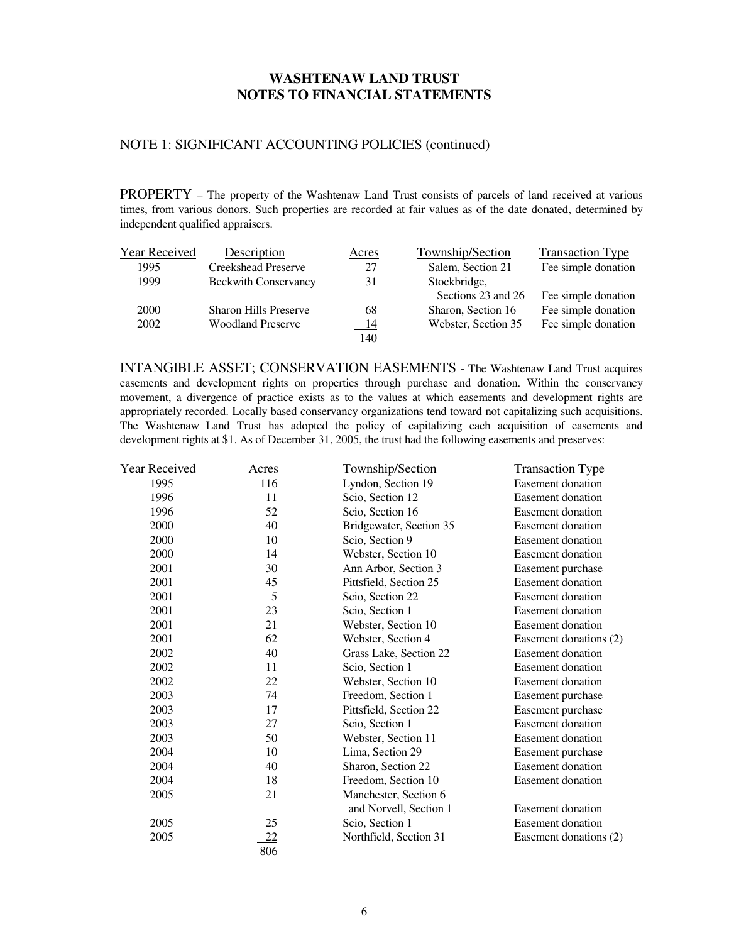### NOTE 1: SIGNIFICANT ACCOUNTING POLICIES (continued)

PROPERTY – The property of the Washtenaw Land Trust consists of parcels of land received at various times, from various donors. Such properties are recorded at fair values as of the date donated, determined by independent qualified appraisers.

| Year Received | Description                  | Acres      | Township/Section    | <b>Transaction Type</b> |
|---------------|------------------------------|------------|---------------------|-------------------------|
| 1995          | <b>Creekshead Preserve</b>   | 27         | Salem, Section 21   | Fee simple donation     |
| 1999          | <b>Beckwith Conservancy</b>  | 31         | Stockbridge,        |                         |
|               |                              |            | Sections 23 and 26  | Fee simple donation     |
| <b>2000</b>   | <b>Sharon Hills Preserve</b> | 68         | Sharon, Section 16  | Fee simple donation     |
| 2002          | <b>Woodland Preserve</b>     | - 14       | Webster, Section 35 | Fee simple donation     |
|               |                              | <u>140</u> |                     |                         |

INTANGIBLE ASSET; CONSERVATION EASEMENTS - The Washtenaw Land Trust acquires easements and development rights on properties through purchase and donation. Within the conservancy movement, a divergence of practice exists as to the values at which easements and development rights are appropriately recorded. Locally based conservancy organizations tend toward not capitalizing such acquisitions. The Washtenaw Land Trust has adopted the policy of capitalizing each acquisition of easements and development rights at \$1. As of December 31, 2005, the trust had the following easements and preserves:

| <b>Year Received</b> | Acres | Township/Section        | <b>Transaction Type</b>  |
|----------------------|-------|-------------------------|--------------------------|
| 1995                 | 116   | Lyndon, Section 19      | Easement donation        |
| 1996                 | 11    | Scio, Section 12        | Easement donation        |
| 1996                 | 52    | Scio, Section 16        | <b>Easement</b> donation |
| 2000                 | 40    | Bridgewater, Section 35 | <b>Easement</b> donation |
| 2000                 | 10    | Scio, Section 9         | Easement donation        |
| 2000                 | 14    | Webster, Section 10     | Easement donation        |
| 2001                 | 30    | Ann Arbor, Section 3    | Easement purchase        |
| 2001                 | 45    | Pittsfield, Section 25  | Easement donation        |
| 2001                 | 5     | Scio, Section 22        | Easement donation        |
| 2001                 | 23    | Scio, Section 1         | Easement donation        |
| 2001                 | 21    | Webster, Section 10     | Easement donation        |
| 2001                 | 62    | Webster, Section 4      | Easement donations (2)   |
| 2002                 | 40    | Grass Lake, Section 22  | <b>Easement</b> donation |
| 2002                 | 11    | Scio, Section 1         | Easement donation        |
| 2002                 | 22    | Webster, Section 10     | Easement donation        |
| 2003                 | 74    | Freedom, Section 1      | Easement purchase        |
| 2003                 | 17    | Pittsfield, Section 22  | Easement purchase        |
| 2003                 | 27    | Scio, Section 1         | <b>Easement</b> donation |
| 2003                 | 50    | Webster, Section 11     | <b>Easement</b> donation |
| 2004                 | 10    | Lima, Section 29        | Easement purchase        |
| 2004                 | 40    | Sharon, Section 22      | Easement donation        |
| 2004                 | 18    | Freedom, Section 10     | <b>Easement donation</b> |
| 2005                 | 21    | Manchester, Section 6   |                          |
|                      |       | and Norvell, Section 1  | Easement donation        |
| 2005                 | 25    | Scio, Section 1         | Easement donation        |
| 2005                 | 22    | Northfield, Section 31  | Easement donations (2)   |
|                      | 806   |                         |                          |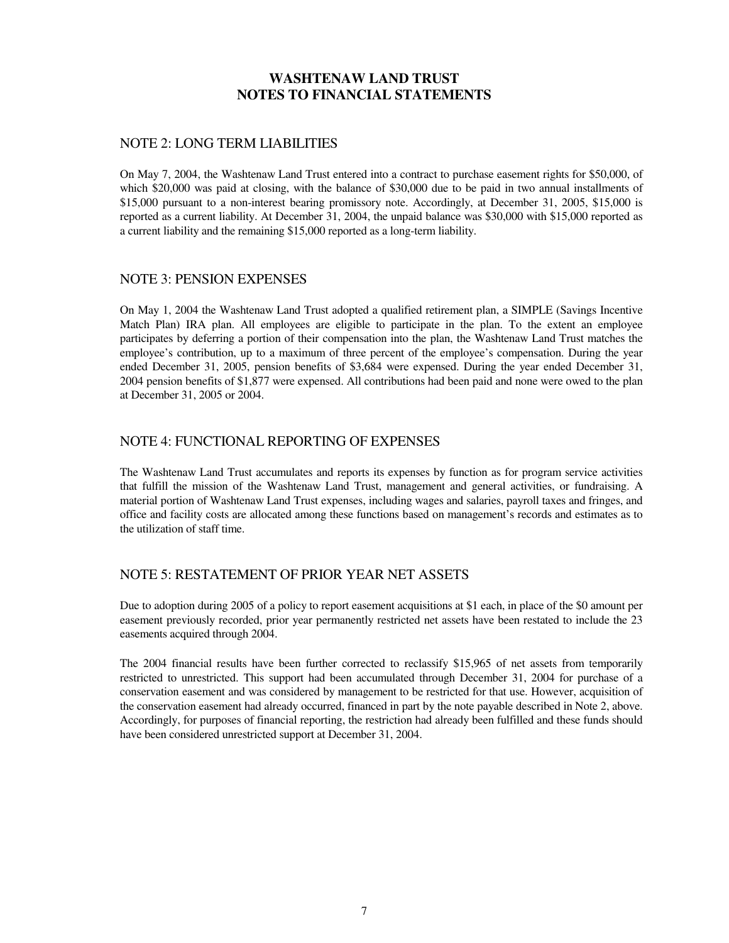#### NOTE 2: LONG TERM LIABILITIES

On May 7, 2004, the Washtenaw Land Trust entered into a contract to purchase easement rights for \$50,000, of which \$20,000 was paid at closing, with the balance of \$30,000 due to be paid in two annual installments of \$15,000 pursuant to a non-interest bearing promissory note. Accordingly, at December 31, 2005, \$15,000 is reported as a current liability. At December 31, 2004, the unpaid balance was \$30,000 with \$15,000 reported as a current liability and the remaining \$15,000 reported as a long-term liability.

#### NOTE 3: PENSION EXPENSES

On May 1, 2004 the Washtenaw Land Trust adopted a qualified retirement plan, a SIMPLE (Savings Incentive Match Plan) IRA plan. All employees are eligible to participate in the plan. To the extent an employee participates by deferring a portion of their compensation into the plan, the Washtenaw Land Trust matches the employee's contribution, up to a maximum of three percent of the employee's compensation. During the year ended December 31, 2005, pension benefits of \$3,684 were expensed. During the year ended December 31, 2004 pension benefits of \$1,877 were expensed. All contributions had been paid and none were owed to the plan at December 31, 2005 or 2004.

#### NOTE 4: FUNCTIONAL REPORTING OF EXPENSES

The Washtenaw Land Trust accumulates and reports its expenses by function as for program service activities that fulfill the mission of the Washtenaw Land Trust, management and general activities, or fundraising. A material portion of Washtenaw Land Trust expenses, including wages and salaries, payroll taxes and fringes, and office and facility costs are allocated among these functions based on management's records and estimates as to the utilization of staff time.

#### NOTE 5: RESTATEMENT OF PRIOR YEAR NET ASSETS

Due to adoption during 2005 of a policy to report easement acquisitions at \$1 each, in place of the \$0 amount per easement previously recorded, prior year permanently restricted net assets have been restated to include the 23 easements acquired through 2004.

The 2004 financial results have been further corrected to reclassify \$15,965 of net assets from temporarily restricted to unrestricted. This support had been accumulated through December 31, 2004 for purchase of a conservation easement and was considered by management to be restricted for that use. However, acquisition of the conservation easement had already occurred, financed in part by the note payable described in Note 2, above. Accordingly, for purposes of financial reporting, the restriction had already been fulfilled and these funds should have been considered unrestricted support at December 31, 2004.